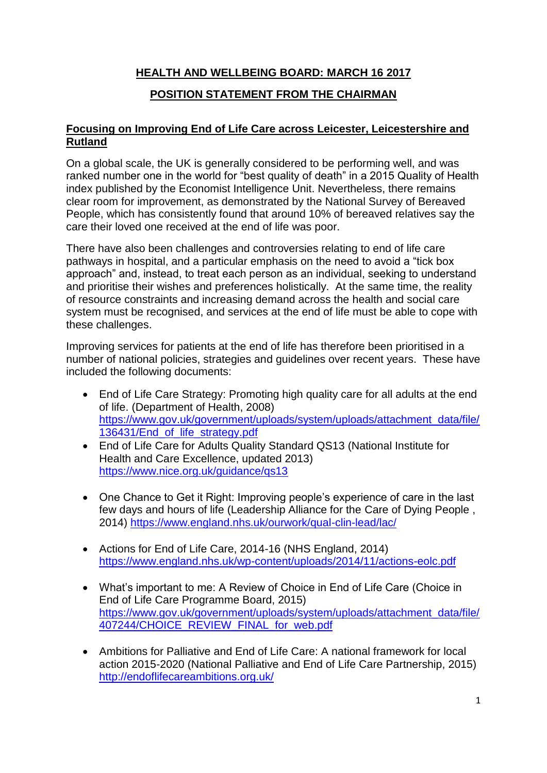## **HEALTH AND WELLBEING BOARD: MARCH 16 2017**

### **POSITION STATEMENT FROM THE CHAIRMAN**

#### **Focusing on Improving End of Life Care across Leicester, Leicestershire and Rutland**

On a global scale, the UK is generally considered to be performing well, and was ranked number one in the world for "best quality of death" in a 2015 Quality of Health index published by the Economist Intelligence Unit. Nevertheless, there remains clear room for improvement, as demonstrated by the National Survey of Bereaved People, which has consistently found that around 10% of bereaved relatives say the care their loved one received at the end of life was poor.

There have also been challenges and controversies relating to end of life care pathways in hospital, and a particular emphasis on the need to avoid a "tick box approach" and, instead, to treat each person as an individual, seeking to understand and prioritise their wishes and preferences holistically. At the same time, the reality of resource constraints and increasing demand across the health and social care system must be recognised, and services at the end of life must be able to cope with these challenges.

Improving services for patients at the end of life has therefore been prioritised in a number of national policies, strategies and guidelines over recent years. These have included the following documents:

- End of Life Care Strategy: Promoting high quality care for all adults at the end of life. (Department of Health, 2008) [https://www.gov.uk/government/uploads/system/uploads/attachment\\_data/file/](https://www.gov.uk/government/uploads/system/uploads/attachment_data/file/136431/End_of_life_strategy.pdf) [136431/End\\_of\\_life\\_strategy.pdf](https://www.gov.uk/government/uploads/system/uploads/attachment_data/file/136431/End_of_life_strategy.pdf)
- End of Life Care for Adults Quality Standard QS13 (National Institute for Health and Care Excellence, updated 2013) https://www.nice.org.uk/guidance/gs13
- One Chance to Get it Right: Improving people's experience of care in the last few days and hours of life (Leadership Alliance for the Care of Dying People , 2014)<https://www.england.nhs.uk/ourwork/qual-clin-lead/lac/>
- Actions for End of Life Care, 2014-16 (NHS England, 2014) <https://www.england.nhs.uk/wp-content/uploads/2014/11/actions-eolc.pdf>
- What's important to me: A Review of Choice in End of Life Care (Choice in End of Life Care Programme Board, 2015) [https://www.gov.uk/government/uploads/system/uploads/attachment\\_data/file/](https://www.gov.uk/government/uploads/system/uploads/attachment_data/file/407244/CHOICE_REVIEW_FINAL_for_web.pdf) [407244/CHOICE\\_REVIEW\\_FINAL\\_for\\_web.pdf](https://www.gov.uk/government/uploads/system/uploads/attachment_data/file/407244/CHOICE_REVIEW_FINAL_for_web.pdf)
- Ambitions for Palliative and End of Life Care: A national framework for local action 2015-2020 (National Palliative and End of Life Care Partnership, 2015) <http://endoflifecareambitions.org.uk/>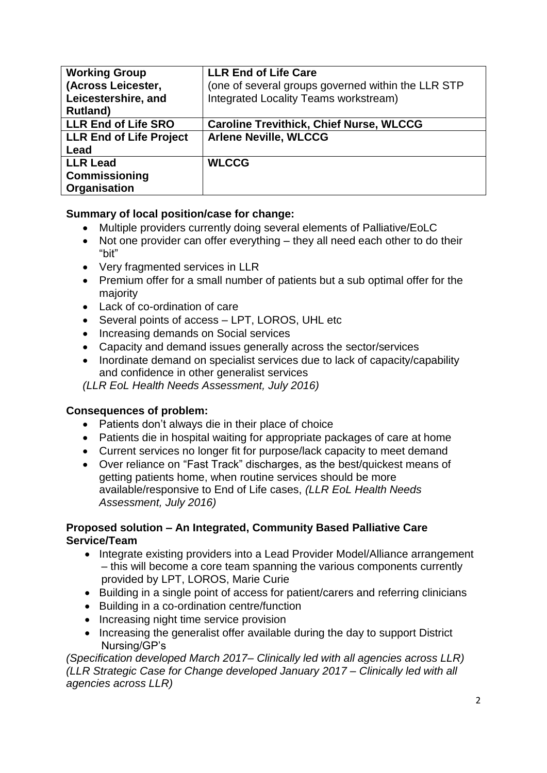| <b>Working Group</b><br>(Across Leicester,<br>Leicestershire, and<br><b>Rutland</b> ) | <b>LLR End of Life Care</b><br>(one of several groups governed within the LLR STP<br>Integrated Locality Teams workstream) |
|---------------------------------------------------------------------------------------|----------------------------------------------------------------------------------------------------------------------------|
| <b>LLR End of Life SRO</b>                                                            | <b>Caroline Trevithick, Chief Nurse, WLCCG</b>                                                                             |
| <b>LLR End of Life Project</b>                                                        | <b>Arlene Neville, WLCCG</b>                                                                                               |
| Lead                                                                                  |                                                                                                                            |
| <b>LLR Lead</b>                                                                       | <b>WLCCG</b>                                                                                                               |
| Commissioning                                                                         |                                                                                                                            |
| Organisation                                                                          |                                                                                                                            |

### **Summary of local position/case for change:**

- Multiple providers currently doing several elements of Palliative/EoLC
- Not one provider can offer everything they all need each other to do their "bit"
- Very fragmented services in LLR
- Premium offer for a small number of patients but a sub optimal offer for the majority
- Lack of co-ordination of care
- Several points of access LPT, LOROS, UHL etc
- Increasing demands on Social services
- Capacity and demand issues generally across the sector/services
- Inordinate demand on specialist services due to lack of capacity/capability and confidence in other generalist services

*(LLR EoL Health Needs Assessment, July 2016)*

### **Consequences of problem:**

- Patients don't always die in their place of choice
- Patients die in hospital waiting for appropriate packages of care at home
- Current services no longer fit for purpose/lack capacity to meet demand
- Over reliance on "Fast Track" discharges, as the best/quickest means of getting patients home, when routine services should be more available/responsive to End of Life cases, *(LLR EoL Health Needs Assessment, July 2016)*

### **Proposed solution – An Integrated, Community Based Palliative Care Service/Team**

- Integrate existing providers into a Lead Provider Model/Alliance arrangement – this will become a core team spanning the various components currently provided by LPT, LOROS, Marie Curie
- Building in a single point of access for patient/carers and referring clinicians
- Building in a co-ordination centre/function
- Increasing night time service provision
- Increasing the generalist offer available during the day to support District Nursing/GP's

*(Specification developed March 2017– Clinically led with all agencies across LLR) (LLR Strategic Case for Change developed January 2017 – Clinically led with all agencies across LLR)*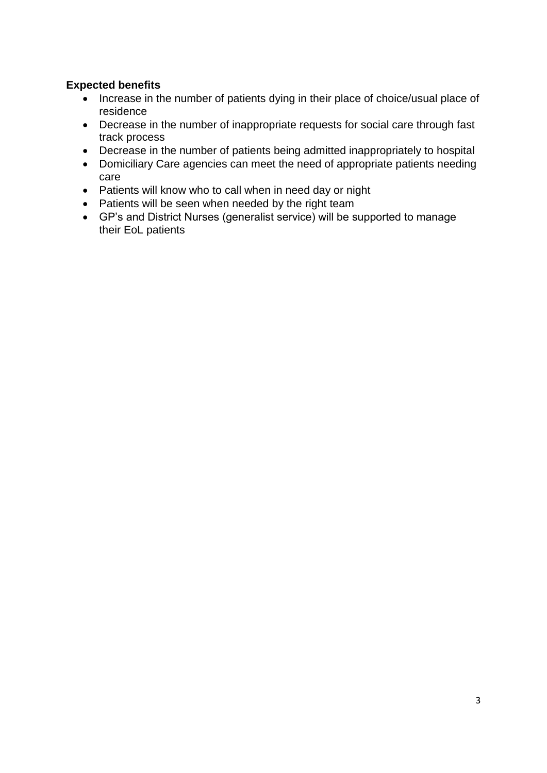### **Expected benefits**

- Increase in the number of patients dying in their place of choice/usual place of residence
- Decrease in the number of inappropriate requests for social care through fast track process
- Decrease in the number of patients being admitted inappropriately to hospital
- Domiciliary Care agencies can meet the need of appropriate patients needing care
- Patients will know who to call when in need day or night
- Patients will be seen when needed by the right team
- GP's and District Nurses (generalist service) will be supported to manage their EoL patients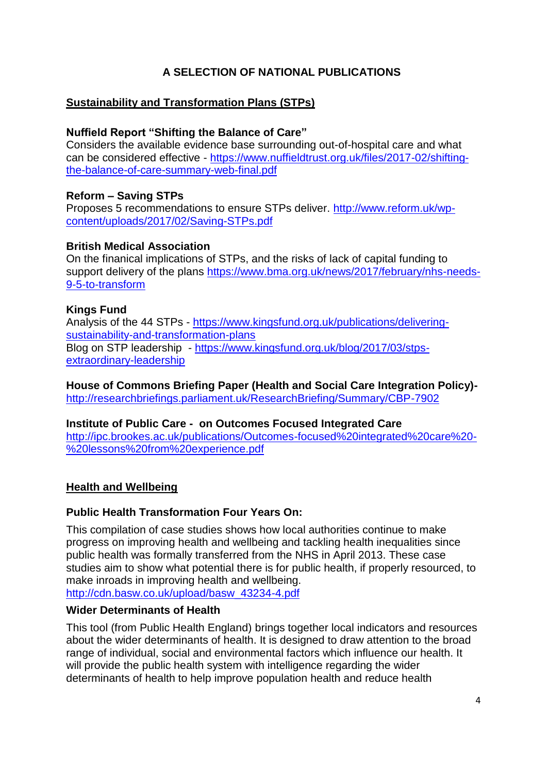## **A SELECTION OF NATIONAL PUBLICATIONS**

### **Sustainability and Transformation Plans (STPs)**

### **Nuffield Report "Shifting the Balance of Care"**

Considers the available evidence base surrounding out-of-hospital care and what can be considered effective - [https://www.nuffieldtrust.org.uk/files/2017-02/shifting](https://www.nuffieldtrust.org.uk/files/2017-02/shifting-the-balance-of-care-summary-web-final.pdf)[the-balance-of-care-summary-web-final.pdf](https://www.nuffieldtrust.org.uk/files/2017-02/shifting-the-balance-of-care-summary-web-final.pdf)

### **Reform – Saving STPs**

Proposes 5 recommendations to ensure STPs deliver. [http://www.reform.uk/wp](http://www.reform.uk/wp-content/uploads/2017/02/Saving-STPs.pdf)[content/uploads/2017/02/Saving-STPs.pdf](http://www.reform.uk/wp-content/uploads/2017/02/Saving-STPs.pdf)

#### **British Medical Association**

On the finanical implications of STPs, and the risks of lack of capital funding to support delivery of the plans [https://www.bma.org.uk/news/2017/february/nhs-needs-](https://www.bma.org.uk/news/2017/february/nhs-needs-9-5-to-transform)[9-5-to-transform](https://www.bma.org.uk/news/2017/february/nhs-needs-9-5-to-transform)

#### **Kings Fund**

Analysis of the 44 STPs - [https://www.kingsfund.org.uk/publications/delivering](https://www.kingsfund.org.uk/publications/delivering-sustainability-and-transformation-plans)[sustainability-and-transformation-plans](https://www.kingsfund.org.uk/publications/delivering-sustainability-and-transformation-plans) Blog on STP leadership - [https://www.kingsfund.org.uk/blog/2017/03/stps](https://www.kingsfund.org.uk/blog/2017/03/stps-extraordinary-leadership)[extraordinary-leadership](https://www.kingsfund.org.uk/blog/2017/03/stps-extraordinary-leadership)

**House of Commons Briefing Paper (Health and Social Care Integration Policy)** <http://researchbriefings.parliament.uk/ResearchBriefing/Summary/CBP-7902>

#### **Institute of Public Care - on Outcomes Focused Integrated Care**

[http://ipc.brookes.ac.uk/publications/Outcomes-focused%20integrated%20care%20-](http://ipc.brookes.ac.uk/publications/Outcomes-focused%20integrated%20care%20-%20lessons%20from%20experience.pdf) [%20lessons%20from%20experience.pdf](http://ipc.brookes.ac.uk/publications/Outcomes-focused%20integrated%20care%20-%20lessons%20from%20experience.pdf)

### **Health and Wellbeing**

#### **Public Health Transformation Four Years On:**

This compilation of case studies shows how local authorities continue to make progress on improving health and wellbeing and tackling health inequalities since public health was formally transferred from the NHS in April 2013. These case studies aim to show what potential there is for public health, if properly resourced, to make inroads in improving health and wellbeing. [http://cdn.basw.co.uk/upload/basw\\_43234-4.pdf](http://cdn.basw.co.uk/upload/basw_43234-4.pdf)

#### **Wider Determinants of Health**

This tool (from Public Health England) brings together local indicators and resources about the wider determinants of health. It is designed to draw attention to the broad range of individual, social and environmental factors which influence our health. It will provide the public health system with intelligence regarding the wider determinants of health to help improve population health and reduce health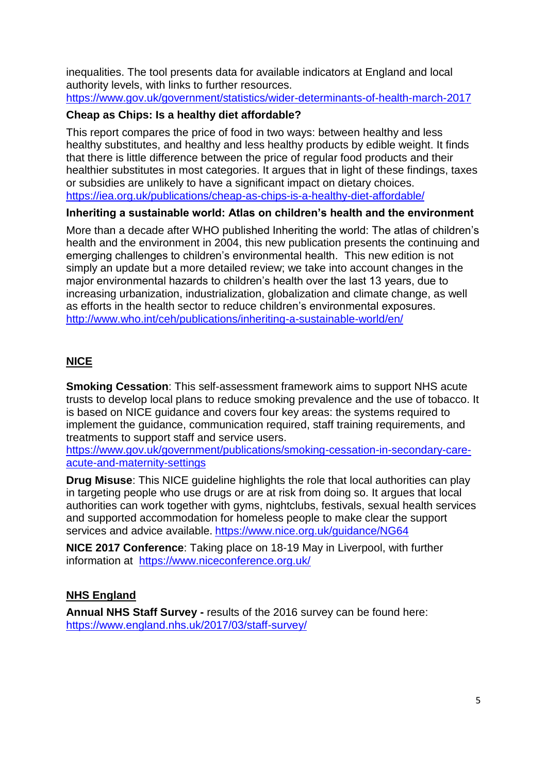inequalities. The tool presents data for available indicators at England and local authority levels, with links to further resources.

<https://www.gov.uk/government/statistics/wider-determinants-of-health-march-2017>

### **Cheap as Chips: Is a healthy diet affordable?**

This report compares the price of food in two ways: between healthy and less healthy substitutes, and healthy and less healthy products by edible weight. It finds that there is little difference between the price of regular food products and their healthier substitutes in most categories. It argues that in light of these findings, taxes or subsidies are unlikely to have a significant impact on dietary choices. <https://iea.org.uk/publications/cheap-as-chips-is-a-healthy-diet-affordable/>

### **Inheriting a sustainable world: Atlas on children's health and the environment**

More than a decade after WHO published Inheriting the world: The atlas of children's health and the environment in 2004, this new publication presents the continuing and emerging challenges to children's environmental health. This new edition is not simply an update but a more detailed review; we take into account changes in the major environmental hazards to children's health over the last 13 years, due to increasing urbanization, industrialization, globalization and climate change, as well as efforts in the health sector to reduce children's environmental exposures. <http://www.who.int/ceh/publications/inheriting-a-sustainable-world/en/>

# **NICE**

**Smoking Cessation**: This self-assessment framework aims to support NHS acute trusts to develop local plans to reduce smoking prevalence and the use of tobacco. It is based on NICE guidance and covers four key areas: the systems required to implement the guidance, communication required, staff training requirements, and treatments to support staff and service users.

[https://www.gov.uk/government/publications/smoking-cessation-in-secondary-care](https://www.gov.uk/government/publications/smoking-cessation-in-secondary-care-acute-and-maternity-settings)[acute-and-maternity-settings](https://www.gov.uk/government/publications/smoking-cessation-in-secondary-care-acute-and-maternity-settings)

**Drug Misuse**: This NICE guideline highlights the role that local authorities can play in targeting people who use drugs or are at risk from doing so. It argues that local authorities can work together with gyms, nightclubs, festivals, sexual health services and supported accommodation for homeless people to make clear the support services and advice available. <https://www.nice.org.uk/guidance/NG64>

**NICE 2017 Conference**: Taking place on 18-19 May in Liverpool, with further information at <https://www.niceconference.org.uk/>

# **NHS England**

**Annual NHS Staff Survey -** results of the 2016 survey can be found here: <https://www.england.nhs.uk/2017/03/staff-survey/>